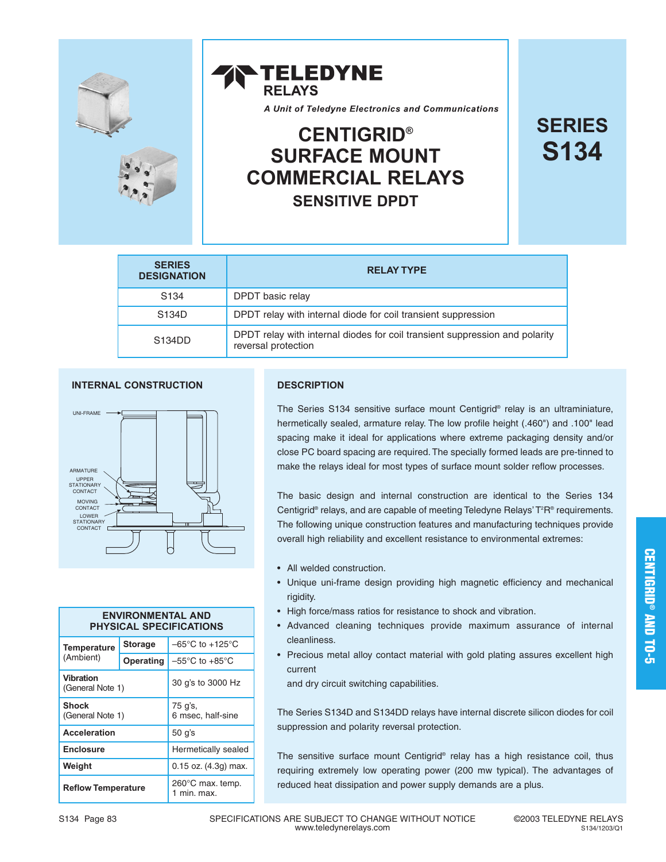



# **S134 CENTIGRID® SURFACE MOUNT COMMERCIAL RELAYS SENSITIVE DPDT**

| <b>SERIES</b> |
|---------------|
| <b>S134</b>   |

| <b>SERIES</b><br><b>DESIGNATION</b> | <b>RELAY TYPE</b>                                                                                  |  |  |
|-------------------------------------|----------------------------------------------------------------------------------------------------|--|--|
| S <sub>134</sub>                    | DPDT basic relay                                                                                   |  |  |
| S134D                               | DPDT relay with internal diode for coil transient suppression                                      |  |  |
| S <sub>134</sub> D <sub>D</sub>     | DPDT relay with internal diodes for coil transient suppression and polarity<br>reversal protection |  |  |

#### **INTERNAL CONSTRUCTION**



| <b>ENVIRONMENTAL AND</b><br><b>PHYSICAL SPECIFICATIONS</b> |                |                                    |  |  |
|------------------------------------------------------------|----------------|------------------------------------|--|--|
| <b>Temperature</b><br>(Ambient)                            | <b>Storage</b> | –65°C to +125°C                    |  |  |
|                                                            | Operating      | $-55^{\circ}$ C to $+85^{\circ}$ C |  |  |
| <b>Vibration</b><br>(General Note 1)                       |                | 30 g's to 3000 Hz                  |  |  |
| <b>Shock</b><br>(General Note 1)                           |                | 75 g's,<br>6 msec, half-sine       |  |  |
| <b>Acceleration</b>                                        |                | 50 q's                             |  |  |
| <b>Enclosure</b>                                           |                | Hermetically sealed                |  |  |
| Weight                                                     |                | $0.15$ oz. $(4.3g)$ max.           |  |  |
| <b>Reflow Temperature</b>                                  |                | 260°C max. temp.<br>min. max.      |  |  |

#### **DESCRIPTION**

The Series S134 sensitive surface mount Centigrid® relay is an ultraminiature, hermetically sealed, armature relay. The low profile height (.460") and .100" lead spacing make it ideal for applications where extreme packaging density and/or close PC board spacing are required. The specially formed leads are pre-tinned to make the relays ideal for most types of surface mount solder reflow processes.

The basic design and internal construction are identical to the Series 134 Centigrid® relays, and are capable of meeting Teledyne Relays' T<sup>2</sup>R® requirements. The following unique construction features and manufacturing techniques provide overall high reliability and excellent resistance to environmental extremes:

- All welded construction.
- Unique uni-frame design providing high magnetic efficiency and mechanical rigidity.
- High force/mass ratios for resistance to shock and vibration.
- Advanced cleaning techniques provide maximum assurance of internal cleanliness.
- Precious metal alloy contact material with gold plating assures excellent high current

and dry circuit switching capabilities.

The Series S134D and S134DD relays have internal discrete silicon diodes for coil suppression and polarity reversal protection.

The sensitive surface mount Centigrid® relay has a high resistance coil, thus requiring extremely low operating power (200 mw typical). The advantages of reduced heat dissipation and power supply demands are a plus.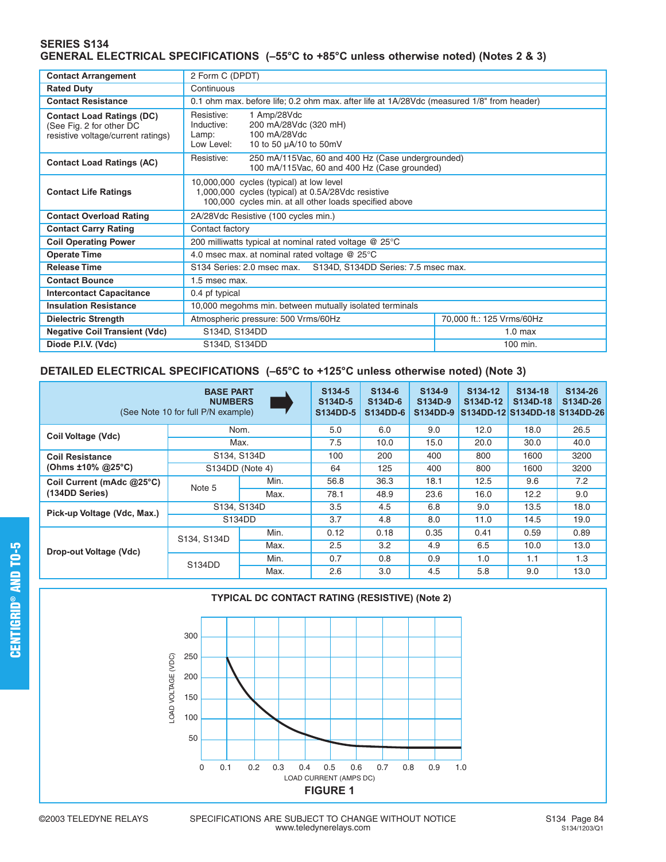### **SERIES S134 GENERAL ELECTRICAL SPECIFICATIONS (–55°C to +85°C unless otherwise noted) (Notes 2 & 3)**

| <b>Contact Arrangement</b>                                                                         | 2 Form C (DPDT)                                                                                                                                          |                           |  |  |  |
|----------------------------------------------------------------------------------------------------|----------------------------------------------------------------------------------------------------------------------------------------------------------|---------------------------|--|--|--|
| <b>Rated Duty</b>                                                                                  | Continuous                                                                                                                                               |                           |  |  |  |
| <b>Contact Resistance</b>                                                                          | 0.1 ohm max. before life; 0.2 ohm max. after life at 1A/28Vdc (measured 1/8" from header)                                                                |                           |  |  |  |
| <b>Contact Load Ratings (DC)</b><br>(See Fig. 2 for other DC<br>resistive voltage/current ratings) | Resistive:<br>1 Amp/28Vdc<br>200 mA/28Vdc (320 mH)<br>Inductive:<br>100 mA/28Vdc<br>Lamp:<br>Low Level:<br>10 to 50 µA/10 to 50mV                        |                           |  |  |  |
| <b>Contact Load Ratings (AC)</b>                                                                   | 250 mA/115Vac, 60 and 400 Hz (Case undergrounded)<br>Resistive:<br>100 mA/115Vac, 60 and 400 Hz (Case grounded)                                          |                           |  |  |  |
| <b>Contact Life Ratings</b>                                                                        | 10,000,000 cycles (typical) at low level<br>1,000,000 cycles (typical) at 0.5A/28Vdc resistive<br>100,000 cycles min. at all other loads specified above |                           |  |  |  |
| <b>Contact Overload Rating</b>                                                                     | 2A/28Vdc Resistive (100 cycles min.)                                                                                                                     |                           |  |  |  |
| <b>Contact Carry Rating</b>                                                                        | Contact factory                                                                                                                                          |                           |  |  |  |
| <b>Coil Operating Power</b>                                                                        | 200 milliwatts typical at nominal rated voltage $@$ 25 $°C$                                                                                              |                           |  |  |  |
| <b>Operate Time</b>                                                                                | 4.0 msec max. at nominal rated voltage $@$ 25 $°C$                                                                                                       |                           |  |  |  |
| <b>Release Time</b>                                                                                | S134D, S134DD Series: 7.5 msec max.<br>S134 Series: 2.0 msec max.                                                                                        |                           |  |  |  |
| <b>Contact Bounce</b>                                                                              | 1.5 msec max.                                                                                                                                            |                           |  |  |  |
| <b>Intercontact Capacitance</b>                                                                    | 0.4 pf typical                                                                                                                                           |                           |  |  |  |
| <b>Insulation Resistance</b>                                                                       | 10,000 megohms min. between mutually isolated terminals                                                                                                  |                           |  |  |  |
| <b>Dielectric Strength</b>                                                                         | Atmospheric pressure: 500 Vrms/60Hz                                                                                                                      | 70,000 ft.: 125 Vrms/60Hz |  |  |  |
| <b>Negative Coil Transient (Vdc)</b><br>S134D, S134DD                                              |                                                                                                                                                          | 1.0 <sub>max</sub>        |  |  |  |
| Diode P.I.V. (Vdc)<br>S134D, S134DD                                                                |                                                                                                                                                          | 100 min.                  |  |  |  |

# **DETAILED ELECTRICAL SPECIFICATIONS (–65°C to +125°C unless otherwise noted) (Note 3)**

| <b>BASE PART</b><br><b>NUMBERS</b><br>(See Note 10 for full P/N example) |                     | S <sub>134-5</sub><br>S <sub>134</sub> D-5<br><b>S134DD-5</b> | S <sub>134-6</sub><br>S <sub>134</sub> D-6<br><b>S134DD-6</b> | S <sub>134-9</sub><br>S <sub>134</sub> D-9<br><b>S134DD-9</b> | S134-12<br>S134D-12<br>S134DD-12 S134DD-18 S134DD-26 | S <sub>134-18</sub><br>S134D-18 | S <sub>134-26</sub><br>S134D-26 |      |
|--------------------------------------------------------------------------|---------------------|---------------------------------------------------------------|---------------------------------------------------------------|---------------------------------------------------------------|------------------------------------------------------|---------------------------------|---------------------------------|------|
| Coil Voltage (Vdc)                                                       | Nom.                |                                                               | 5.0                                                           | 6.0                                                           | 9.0                                                  | 12.0                            | 18.0                            | 26.5 |
|                                                                          | Max.                |                                                               | 7.5                                                           | 10.0                                                          | 15.0                                                 | 20.0                            | 30.0                            | 40.0 |
| <b>Coil Resistance</b><br>(Ohms $±10\%$ @25°C)                           | S134, S134D         |                                                               | 100                                                           | 200                                                           | 400                                                  | 800                             | 1600                            | 3200 |
|                                                                          | S134DD (Note 4)     |                                                               | 64                                                            | 125                                                           | 400                                                  | 800                             | 1600                            | 3200 |
| Coil Current (mAdc @25°C)<br>(134DD Series)                              | Note 5              | Min.                                                          | 56.8                                                          | 36.3                                                          | 18.1                                                 | 12.5                            | 9.6                             | 7.2  |
|                                                                          |                     | Max.                                                          | 78.1                                                          | 48.9                                                          | 23.6                                                 | 16.0                            | 12.2                            | 9.0  |
| Pick-up Voltage (Vdc, Max.)                                              | S134, S134D         |                                                               | 3.5                                                           | 4.5                                                           | 6.8                                                  | 9.0                             | 13.5                            | 18.0 |
|                                                                          |                     | S <sub>134</sub> DD                                           | 3.7                                                           | 4.8                                                           | 8.0                                                  | 11.0                            | 14.5                            | 19.0 |
| Drop-out Voltage (Vdc)                                                   | S134, S134D         | Min.                                                          | 0.12                                                          | 0.18                                                          | 0.35                                                 | 0.41                            | 0.59                            | 0.89 |
|                                                                          |                     | Max.                                                          | 2.5                                                           | 3.2                                                           | 4.9                                                  | 6.5                             | 10.0                            | 13.0 |
|                                                                          | S <sub>134</sub> DD | Min.                                                          | 0.7                                                           | 0.8                                                           | 0.9                                                  | 1.0                             | 1.1                             | 1.3  |
|                                                                          |                     | Max.                                                          | 2.6                                                           | 3.0                                                           | 4.5                                                  | 5.8                             | 9.0                             | 13.0 |

#### **TYPICAL DC CONTACT RATING (RESISTIVE) (Note 2)**

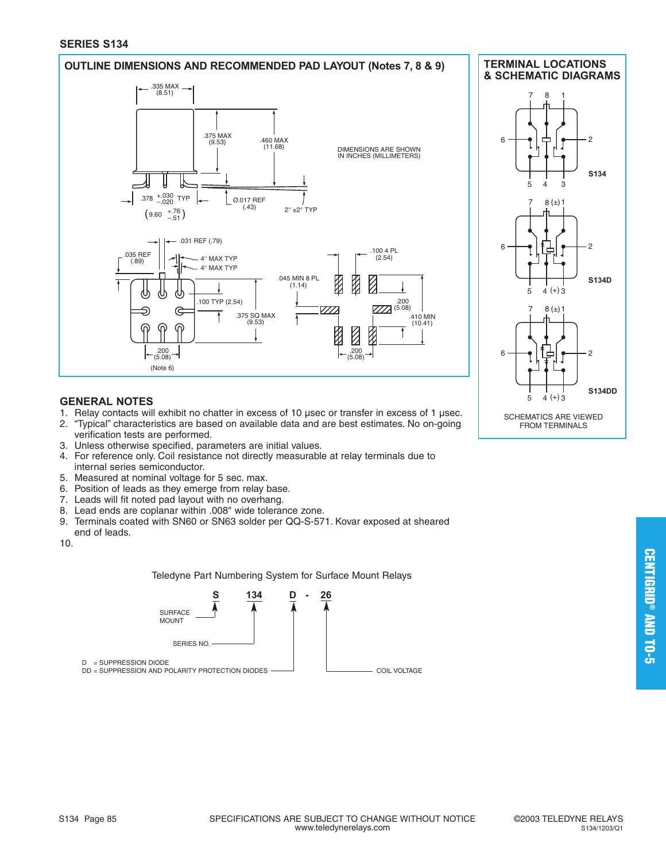#### **SERIES S134**

#### **OUTLINE DIMENSIONS AND RECOMMENDED PAD LAYOUT (Notes 7, 8 & 9)**



#### **TERMINAL LOCATIONS & SCHEMATIC DIAGRAMS**



# **GENERAL NOTES**

- 1. Relay contacts will exhibit no chatter in excess of 10 µsec or transfer in excess of 1 µsec.<br>2. "Typical" characteristics are based on available data and are best estimates. No on-going
- 2. "Typical" characteristics are based on available data and are best estimates. No on-going verification tests are performed.
- 3. Unless otherwise specified, parameters are initial values.
- 4. For reference only. Coil resistance not directly measurable at relay terminals due to internal series semiconductor.
- 5. Measured at nominal voltage for 5 sec. max.
- 6. Position of leads as they emerge from relay base.
- 7. Leads will fit noted pad layout with no overhang.
- 8. Lead ends are coplanar within .008" wide tolerance zone.
- 9. Terminals coated with SN60 or SN63 solder per QQ-S-571. Kovar exposed at sheared end of leads.
- 10.

Teledyne Part Numbering System for Surface Mount Relays